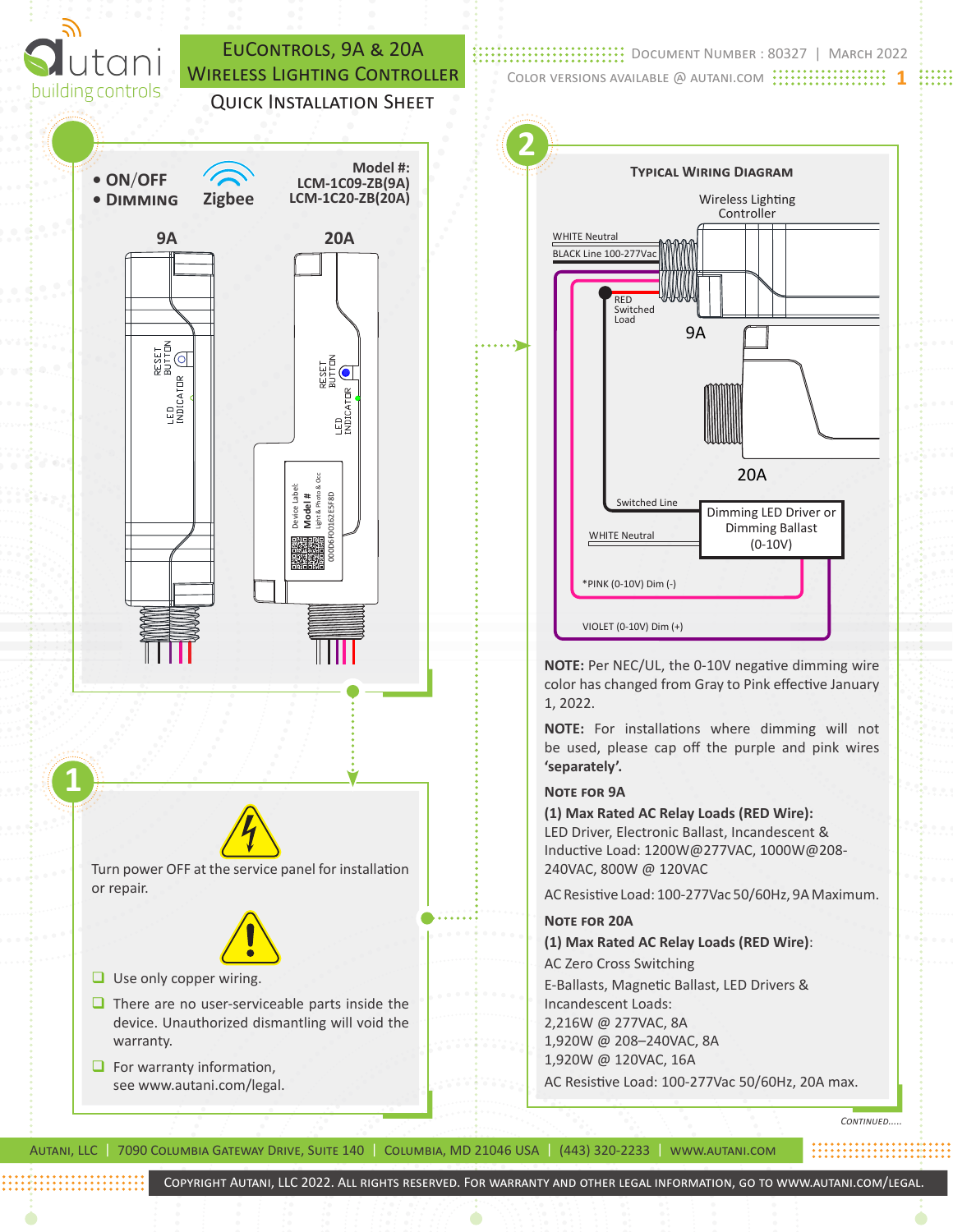

Document Number : 80327 | March 2022 Color versions available @ autani.com **1**



**NOTE:** Per NEC/UL, the 0-10V negative dimming wire color has changed from Gray to Pink effective January 1, 2022.

**NOTE:** For installations where dimming will not be used, please cap off the purple and pink wires **'separately'.**

## **Note for 9A**

**(1) Max Rated AC Relay Loads (RED Wire):** LED Driver, Electronic Ballast, Incandescent & Inductive Load: 1200W@277VAC, 1000W@208- 240VAC, 800W @ 120VAC

AC Resistive Load: 100-277Vac 50/60Hz, 9A Maximum.

**Note for 20A (1) Max Rated AC Relay Loads (RED Wire)**: AC Zero Cross Switching E-Ballasts, Magnetic Ballast, LED Drivers & Incandescent Loads: 2,216W @ 277VAC, 8A 1,920W @ 208–240VAC, 8A 1,920W @ 120VAC, 16A AC Resistive Load: 100-277Vac 50/60Hz, 20A max.

Autani, LLC | 7090 Columbia Gateway Drive, Suite 140 | Columbia, MD 21046 USA | (443) 320-2233 | www.autani.com

*Continued.....*

Copyright Autani, LLC 2022. All rights reserved. For warranty and other legal information, go to www.autani.com/legal.